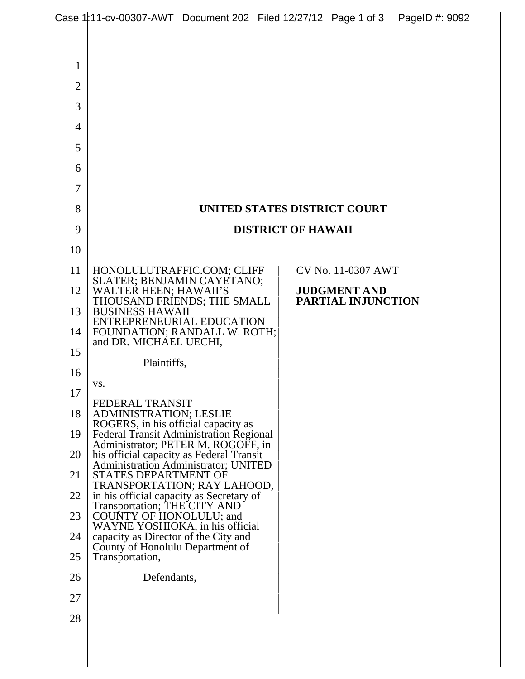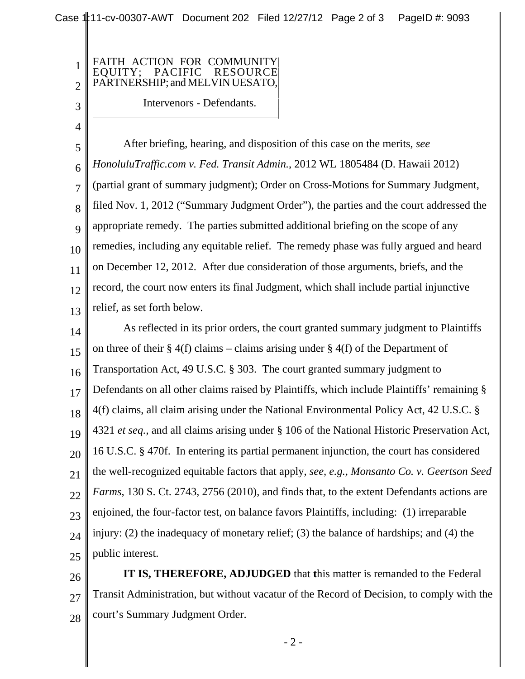| | | |

## FAITH ACTION FOR COMMUNITY | EQUITY; PACIFIC RESOURCE | PARTNERSHIP; and MELVIN UESATO, Intervenors - Defendants.

1

2

3

4

5 6 7 8  $\overline{Q}$ 10 11 12 13 After briefing, hearing, and disposition of this case on the merits, *see HonoluluTraffic.com v. Fed. Transit Admin.*, 2012 WL 1805484 (D. Hawaii 2012) (partial grant of summary judgment); Order on Cross-Motions for Summary Judgment, filed Nov. 1, 2012 ("Summary Judgment Order"), the parties and the court addressed the appropriate remedy. The parties submitted additional briefing on the scope of any remedies, including any equitable relief. The remedy phase was fully argued and heard on December 12, 2012. After due consideration of those arguments, briefs, and the record, the court now enters its final Judgment, which shall include partial injunctive relief, as set forth below.

14 15 16 17 18 19 20 21 22 23 24 25 As reflected in its prior orders, the court granted summary judgment to Plaintiffs on three of their  $\S 4(f)$  claims – claims arising under  $\S 4(f)$  of the Department of Transportation Act, 49 U.S.C. § 303. The court granted summary judgment to Defendants on all other claims raised by Plaintiffs, which include Plaintiffs' remaining § 4(f) claims, all claim arising under the National Environmental Policy Act, 42 U.S.C. § 4321 *et seq.*, and all claims arising under § 106 of the National Historic Preservation Act, 16 U.S.C. § 470f. In entering its partial permanent injunction, the court has considered the well-recognized equitable factors that apply, *see, e.g., Monsanto Co. v. Geertson Seed Farms*, 130 S. Ct. 2743, 2756 (2010), and finds that, to the extent Defendants actions are enjoined, the four-factor test, on balance favors Plaintiffs, including: (1) irreparable injury: (2) the inadequacy of monetary relief; (3) the balance of hardships; and (4) the public interest.

26 27 28 **IT IS, THEREFORE, ADJUDGED** that **t**his matter is remanded to the Federal Transit Administration, but without vacatur of the Record of Decision, to comply with the court's Summary Judgment Order.

- 2 -